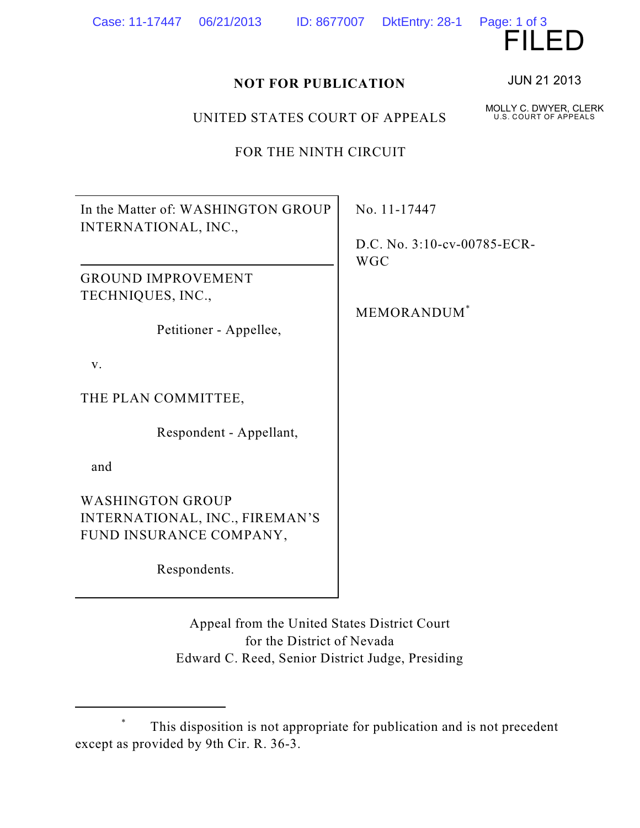| FOR THE NINTH CIRCUIT                                                                                                                  |                                                            |
|----------------------------------------------------------------------------------------------------------------------------------------|------------------------------------------------------------|
| In the Matter of: WASHINGTON GROUP<br>INTERNATIONAL, INC.,<br><b>GROUND IMPROVEMENT</b><br>TECHNIQUES, INC.,<br>Petitioner - Appellee, | No. 11-17447<br>D.C. No. 3:10-c<br><b>WGC</b><br>MEMORANDU |
| V.<br>THE PLAN COMMITTEE,<br>Respondent - Appellant,<br>and<br><b>WASHINGTON GROUP</b>                                                 |                                                            |
| INTERNATIONAL, INC., FIREMAN'S<br>FUND INSURANCE COMPANY,<br>Respondents.                                                              |                                                            |

Appeal from the United States District Court for the District of Nevada Edward C. Reed, Senior District Judge, Presiding

UNITED STATES COURT OF APPEALS

:v-00785-ECR-

 $JM^*$ 

JUN 21 2013

Page: 1 of 3<br> $\blacksquare$ 

MOLLY C. DWYER, CLERK U.S. COURT OF APPEALS



<sup>&</sup>lt;sup>\*</sup> This disposition is not appropriate for publication and is not precedent except as provided by 9th Cir. R. 36-3.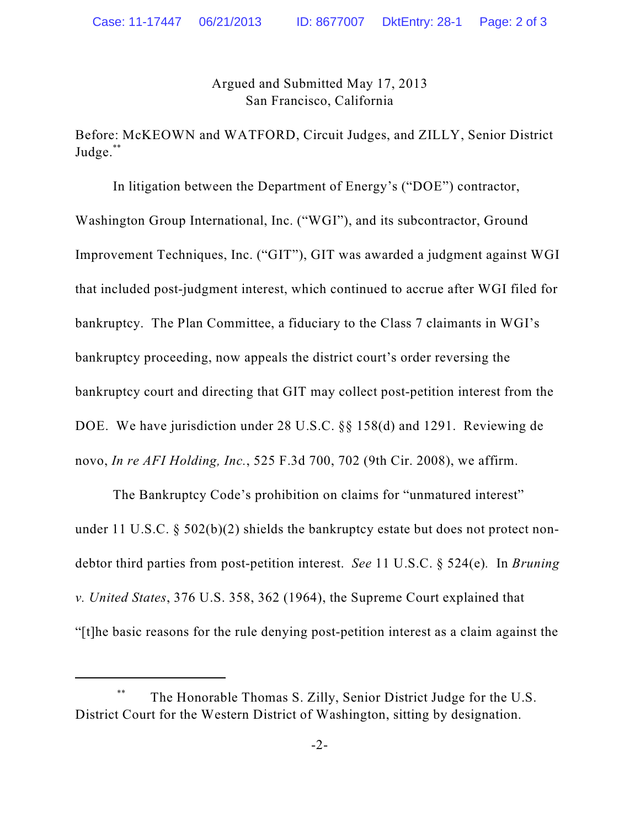Argued and Submitted May 17, 2013 San Francisco, California

Before: McKEOWN and WATFORD, Circuit Judges, and ZILLY, Senior District Judge.\*\*

In litigation between the Department of Energy's ("DOE") contractor, Washington Group International, Inc. ("WGI"), and its subcontractor, Ground Improvement Techniques, Inc. ("GIT"), GIT was awarded a judgment against WGI that included post-judgment interest, which continued to accrue after WGI filed for bankruptcy. The Plan Committee, a fiduciary to the Class 7 claimants in WGI's bankruptcy proceeding, now appeals the district court's order reversing the bankruptcy court and directing that GIT may collect post-petition interest from the DOE. We have jurisdiction under 28 U.S.C. §§ 158(d) and 1291. Reviewing de novo, *In re AFI Holding, Inc.*, 525 F.3d 700, 702 (9th Cir. 2008), we affirm.

The Bankruptcy Code's prohibition on claims for "unmatured interest" under 11 U.S.C. § 502(b)(2) shields the bankruptcy estate but does not protect nondebtor third parties from post-petition interest. *See* 11 U.S.C. § 524(e)*.* In *Bruning v. United States*, 376 U.S. 358, 362 (1964), the Supreme Court explained that "[t]he basic reasons for the rule denying post-petition interest as a claim against the

<sup>\*\*</sup> The Honorable Thomas S. Zilly, Senior District Judge for the U.S. District Court for the Western District of Washington, sitting by designation.